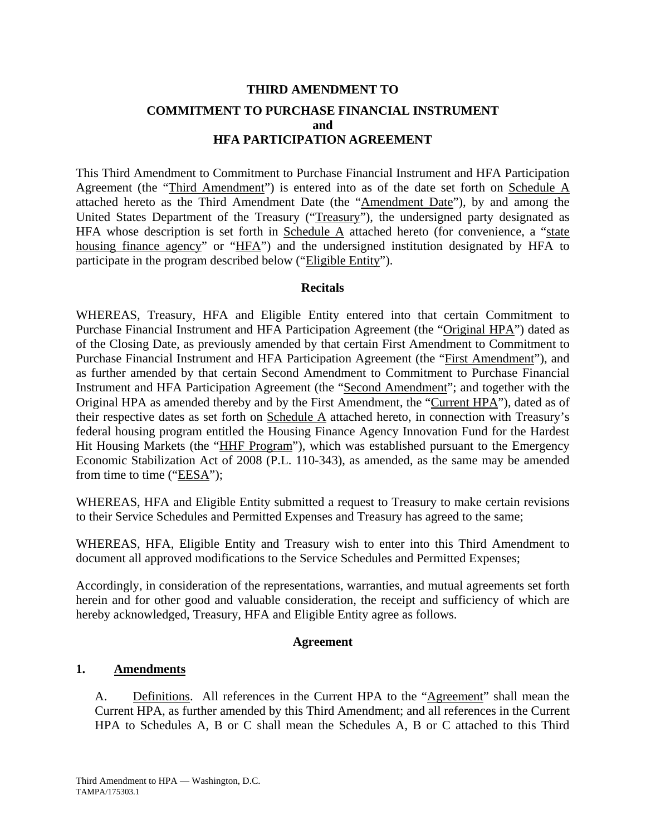# **THIRD AMENDMENT TO COMMITMENT TO PURCHASE FINANCIAL INSTRUMENT and HFA PARTICIPATION AGREEMENT**

This Third Amendment to Commitment to Purchase Financial Instrument and HFA Participation Agreement (the "Third Amendment") is entered into as of the date set forth on Schedule A attached hereto as the Third Amendment Date (the "Amendment Date"), by and among the United States Department of the Treasury ("Treasury"), the undersigned party designated as HFA whose description is set forth in Schedule  $\overline{A}$  attached hereto (for convenience, a "state housing finance agency" or "HFA") and the undersigned institution designated by HFA to participate in the program described below ("Eligible Entity").

## **Recitals**

WHEREAS, Treasury, HFA and Eligible Entity entered into that certain Commitment to Purchase Financial Instrument and HFA Participation Agreement (the "Original HPA") dated as of the Closing Date, as previously amended by that certain First Amendment to Commitment to Purchase Financial Instrument and HFA Participation Agreement (the "First Amendment"), and as further amended by that certain Second Amendment to Commitment to Purchase Financial Instrument and HFA Participation Agreement (the "Second Amendment"; and together with the Original HPA as amended thereby and by the First Amendment, the "Current HPA"), dated as of their respective dates as set forth on Schedule A attached hereto, in connection with Treasury's federal housing program entitled the Housing Finance Agency Innovation Fund for the Hardest Hit Housing Markets (the "HHF Program"), which was established pursuant to the Emergency Economic Stabilization Act of 2008 (P.L. 110-343), as amended, as the same may be amended from time to time (" $EESA$ ");

WHEREAS, HFA and Eligible Entity submitted a request to Treasury to make certain revisions to their Service Schedules and Permitted Expenses and Treasury has agreed to the same;

WHEREAS, HFA, Eligible Entity and Treasury wish to enter into this Third Amendment to document all approved modifications to the Service Schedules and Permitted Expenses;

Accordingly, in consideration of the representations, warranties, and mutual agreements set forth herein and for other good and valuable consideration, the receipt and sufficiency of which are hereby acknowledged, Treasury, HFA and Eligible Entity agree as follows.

## **Agreement**

## **1. Amendments**

A. Definitions. All references in the Current HPA to the "Agreement" shall mean the Current HPA, as further amended by this Third Amendment; and all references in the Current HPA to Schedules A, B or C shall mean the Schedules A, B or C attached to this Third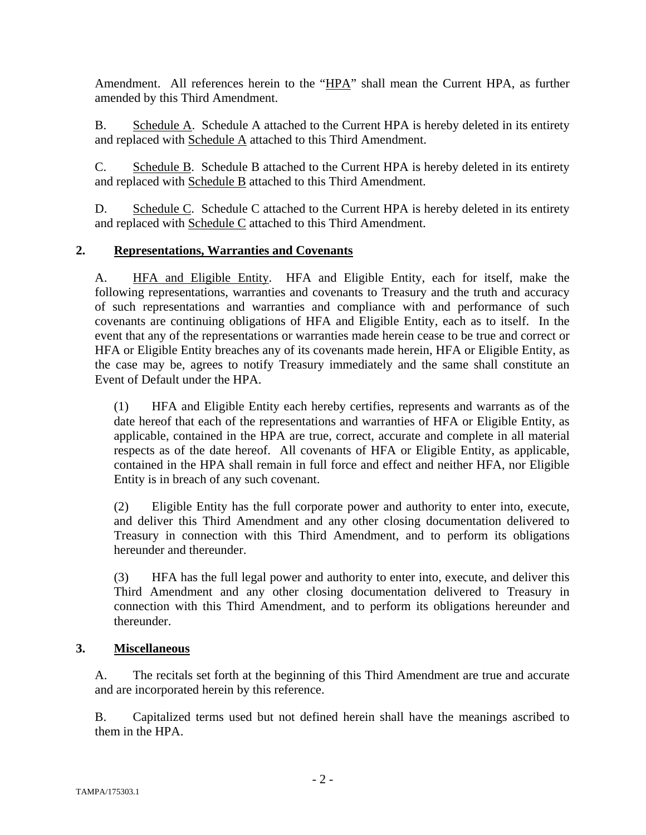Amendment. All references herein to the "HPA" shall mean the Current HPA, as further amended by this Third Amendment.

B. Schedule A. Schedule A attached to the Current HPA is hereby deleted in its entirety and replaced with Schedule A attached to this Third Amendment.

C. Schedule B. Schedule B attached to the Current HPA is hereby deleted in its entirety and replaced with Schedule B attached to this Third Amendment.

D. Schedule C. Schedule C attached to the Current HPA is hereby deleted in its entirety and replaced with Schedule C attached to this Third Amendment.

## **2. Representations, Warranties and Covenants**

A. HFA and Eligible Entity. HFA and Eligible Entity, each for itself, make the following representations, warranties and covenants to Treasury and the truth and accuracy of such representations and warranties and compliance with and performance of such covenants are continuing obligations of HFA and Eligible Entity, each as to itself. In the event that any of the representations or warranties made herein cease to be true and correct or HFA or Eligible Entity breaches any of its covenants made herein, HFA or Eligible Entity, as the case may be, agrees to notify Treasury immediately and the same shall constitute an Event of Default under the HPA.

(1) HFA and Eligible Entity each hereby certifies, represents and warrants as of the date hereof that each of the representations and warranties of HFA or Eligible Entity, as applicable, contained in the HPA are true, correct, accurate and complete in all material respects as of the date hereof. All covenants of HFA or Eligible Entity, as applicable, contained in the HPA shall remain in full force and effect and neither HFA, nor Eligible Entity is in breach of any such covenant.

(2) Eligible Entity has the full corporate power and authority to enter into, execute, and deliver this Third Amendment and any other closing documentation delivered to Treasury in connection with this Third Amendment, and to perform its obligations hereunder and thereunder.

(3) HFA has the full legal power and authority to enter into, execute, and deliver this Third Amendment and any other closing documentation delivered to Treasury in connection with this Third Amendment, and to perform its obligations hereunder and thereunder.

## **3. Miscellaneous**

A. The recitals set forth at the beginning of this Third Amendment are true and accurate and are incorporated herein by this reference.

B. Capitalized terms used but not defined herein shall have the meanings ascribed to them in the HPA.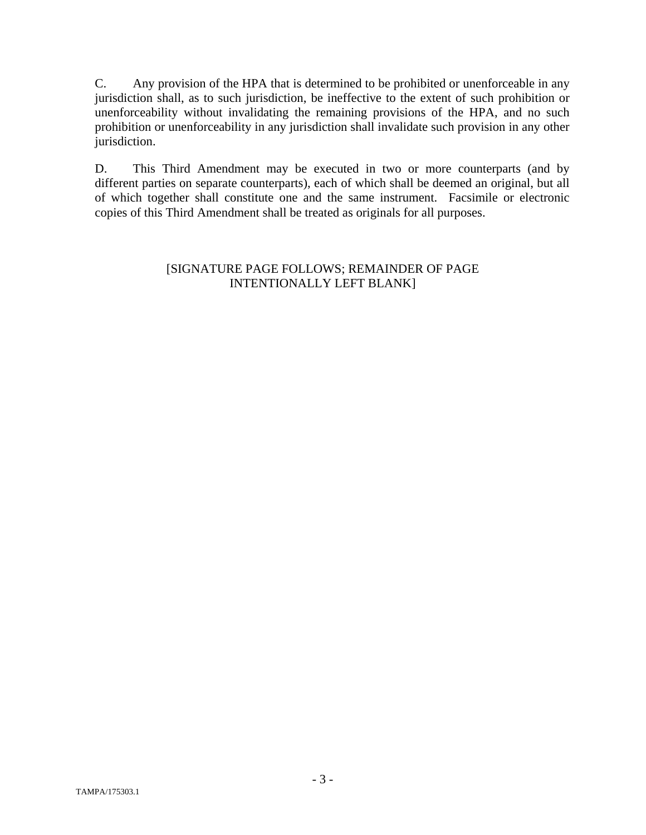C. Any provision of the HPA that is determined to be prohibited or unenforceable in any jurisdiction shall, as to such jurisdiction, be ineffective to the extent of such prohibition or unenforceability without invalidating the remaining provisions of the HPA, and no such prohibition or unenforceability in any jurisdiction shall invalidate such provision in any other jurisdiction.

D. This Third Amendment may be executed in two or more counterparts (and by different parties on separate counterparts), each of which shall be deemed an original, but all of which together shall constitute one and the same instrument. Facsimile or electronic copies of this Third Amendment shall be treated as originals for all purposes.

## [SIGNATURE PAGE FOLLOWS; REMAINDER OF PAGE INTENTIONALLY LEFT BLANK]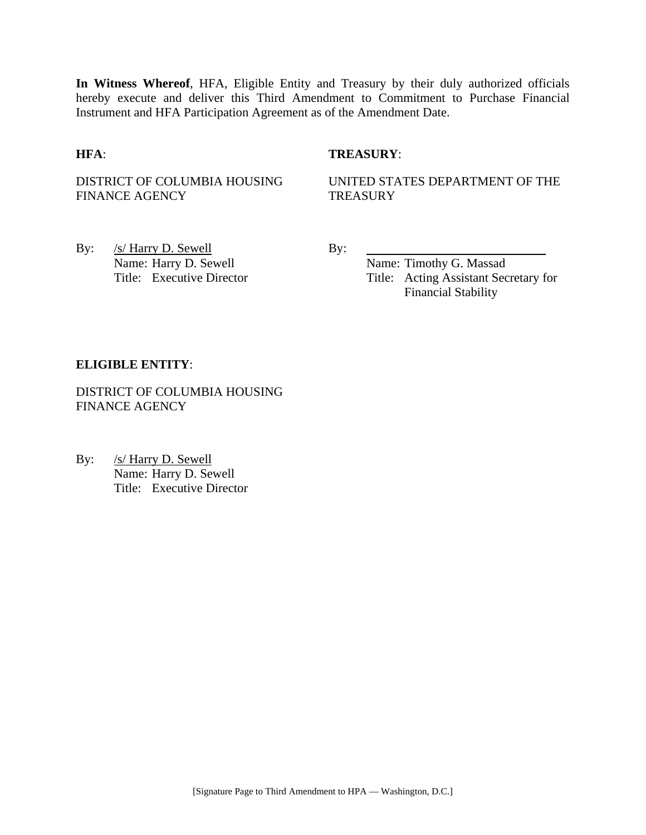**In Witness Whereof**, HFA, Eligible Entity and Treasury by their duly authorized officials hereby execute and deliver this Third Amendment to Commitment to Purchase Financial Instrument and HFA Participation Agreement as of the Amendment Date.

## **HFA**: **TREASURY**:

DISTRICT OF COLUMBIA HOUSING FINANCE AGENCY

UNITED STATES DEPARTMENT OF THE **TREASURY** 

By: <u>/s/ Harry D. Sewell</u> By: Name: Harry D. Sewell By:

Name: Timothy G. Massad Title: Executive Director Title: Acting Assistant Secretary for Financial Stability

### **ELIGIBLE ENTITY**:

DISTRICT OF COLUMBIA HOUSING FINANCE AGENCY

By: /s/ Harry D. Sewell Name: Harry D. Sewell Title: Executive Director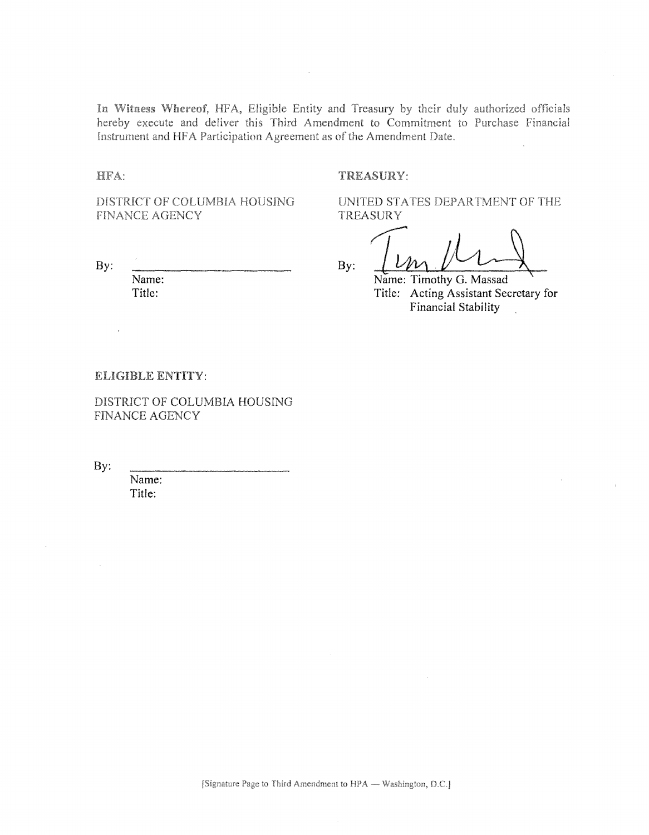In Witness Whereof, HFA, Eligible Entity and Treasury by their duly authorized officials hereby execute and deliver this Third Amendment to Commitment to Purchase Financial Instrument and HFA Participation Agreement as of the Amendment Date.

 $\overline{\phantom{a}}$ 

HFA:

#### TREASURY:

DISTRICT OF COLUMBIA HOUSING FINANCE AGENCY

By:

 $\ddot{\phantom{a}}$ 

Name: Title:

UNITED STATES DEPARTMENT OF THE **TREASURY** 

 $By:$ 

Name: Timothy G. Massad Title: Acting Assistant Secretary for Financial Stability

#### ELIGIBLE ENTITY:

DISTRICT OF COLUMBIA HOUSING FINANCE AGENCY

By:

Name: Title: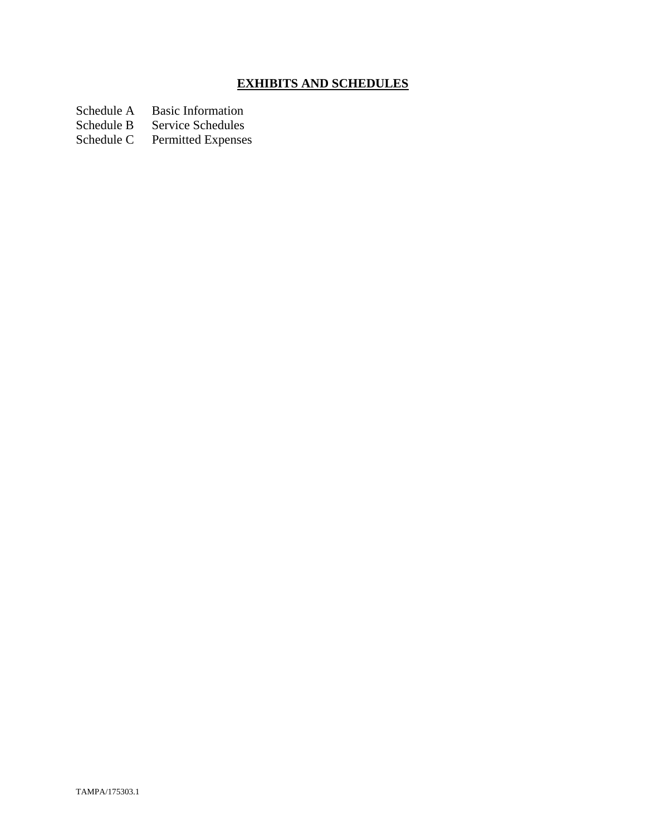# **EXHIBITS AND SCHEDULES**

Schedule A Basic Information<br>Schedule B Service Schedules

Schedule B Service Schedules<br>Schedule C Permitted Expenses

Permitted Expenses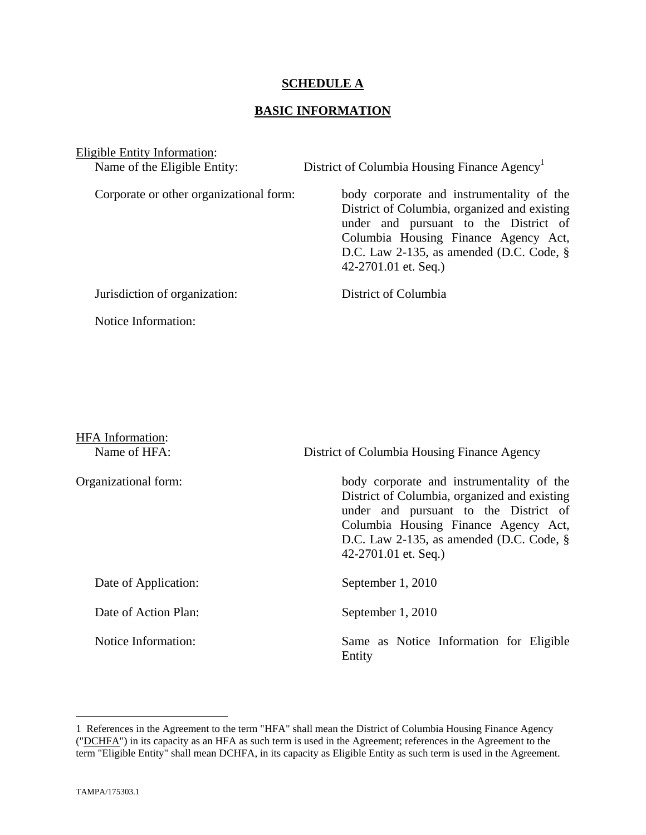## **SCHEDULE A**

## **BASIC INFORMATION**

Eligible Entity Information:

Name of the Eligible Entity: District of Columbia Housing Finance Agency<sup>1</sup> Corporate or other organizational form: body corporate and instrumentality of the District of Columbia, organized and existing under and pursuant to the District of Columbia Housing Finance Agency Act, D.C. Law 2-135, as amended (D.C. Code, § 42-2701.01 et. Seq.) Jurisdiction of organization: District of Columbia Notice Information:

| <b>HFA</b> Information:<br>Name of HFA: | District of Columbia Housing Finance Agency                                                                                                                                                                                                         |
|-----------------------------------------|-----------------------------------------------------------------------------------------------------------------------------------------------------------------------------------------------------------------------------------------------------|
| Organizational form:                    | body corporate and instrumentality of the<br>District of Columbia, organized and existing<br>under and pursuant to the District of<br>Columbia Housing Finance Agency Act,<br>D.C. Law 2-135, as amended (D.C. Code, $\S$ )<br>42-2701.01 et. Seq.) |
| Date of Application:                    | September 1, 2010                                                                                                                                                                                                                                   |
| Date of Action Plan:                    | September 1, 2010                                                                                                                                                                                                                                   |
| Notice Information:                     | Same as Notice Information for Eligible<br>Entity                                                                                                                                                                                                   |

1

<sup>1</sup> References in the Agreement to the term "HFA" shall mean the District of Columbia Housing Finance Agency ("DCHFA") in its capacity as an HFA as such term is used in the Agreement; references in the Agreement to the term "Eligible Entity" shall mean DCHFA, in its capacity as Eligible Entity as such term is used in the Agreement.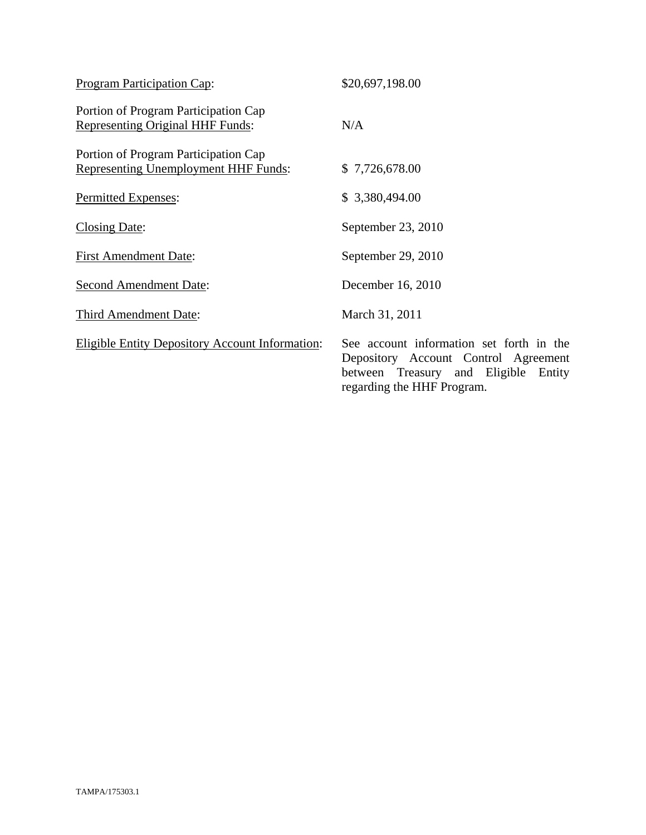| Program Participation Cap:                                                          | \$20,697,198.00                                                                                                                                        |
|-------------------------------------------------------------------------------------|--------------------------------------------------------------------------------------------------------------------------------------------------------|
| Portion of Program Participation Cap<br><b>Representing Original HHF Funds:</b>     | N/A                                                                                                                                                    |
| Portion of Program Participation Cap<br><b>Representing Unemployment HHF Funds:</b> | \$7,726,678.00                                                                                                                                         |
| Permitted Expenses:                                                                 | \$3,380,494.00                                                                                                                                         |
| <b>Closing Date:</b>                                                                | September 23, 2010                                                                                                                                     |
| <b>First Amendment Date:</b>                                                        | September 29, 2010                                                                                                                                     |
| <b>Second Amendment Date:</b>                                                       | December 16, 2010                                                                                                                                      |
| Third Amendment Date:                                                               | March 31, 2011                                                                                                                                         |
| <b>Eligible Entity Depository Account Information:</b>                              | See account information set forth in the<br>Depository Account Control Agreement<br>between Treasury and Eligible Entity<br>regarding the HHF Program. |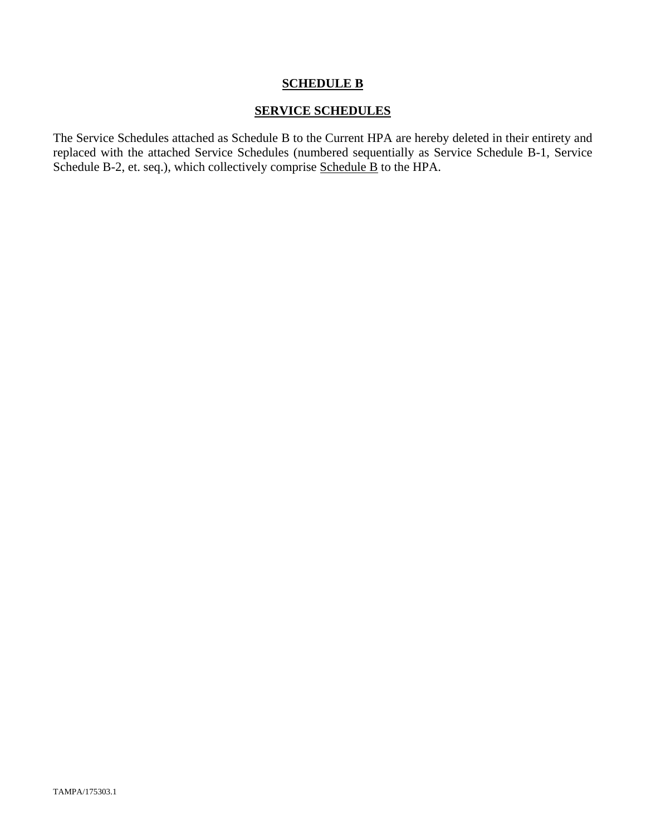## **SCHEDULE B**

## **SERVICE SCHEDULES**

The Service Schedules attached as Schedule B to the Current HPA are hereby deleted in their entirety and replaced with the attached Service Schedules (numbered sequentially as Service Schedule B-1, Service Schedule B-2, et. seq.), which collectively comprise Schedule B to the HPA.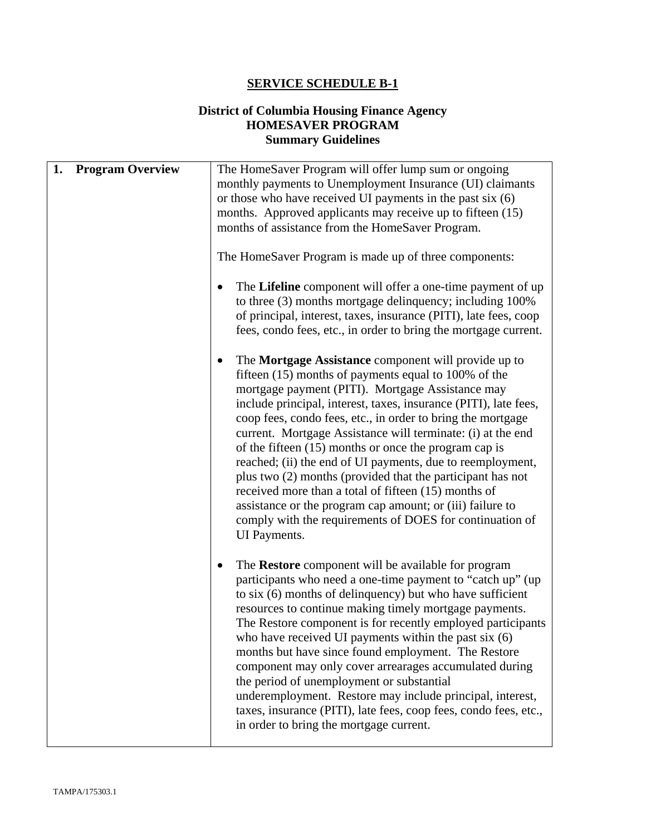## **SERVICE SCHEDULE B-1**

## **District of Columbia Housing Finance Agency HOMESAVER PROGRAM Summary Guidelines**

| 1.<br><b>Program Overview</b> | The HomeSaver Program will offer lump sum or ongoing<br>monthly payments to Unemployment Insurance (UI) claimants<br>or those who have received UI payments in the past six $(6)$<br>months. Approved applicants may receive up to fifteen (15)<br>months of assistance from the HomeSaver Program.                                                                                                                                                                                                                                                                                                                                                                                                                                                               |
|-------------------------------|-------------------------------------------------------------------------------------------------------------------------------------------------------------------------------------------------------------------------------------------------------------------------------------------------------------------------------------------------------------------------------------------------------------------------------------------------------------------------------------------------------------------------------------------------------------------------------------------------------------------------------------------------------------------------------------------------------------------------------------------------------------------|
|                               | The HomeSaver Program is made up of three components:<br>The Lifeline component will offer a one-time payment of up<br>to three (3) months mortgage delinquency; including 100%<br>of principal, interest, taxes, insurance (PITI), late fees, coop<br>fees, condo fees, etc., in order to bring the mortgage current.                                                                                                                                                                                                                                                                                                                                                                                                                                            |
|                               | The Mortgage Assistance component will provide up to<br>fifteen (15) months of payments equal to 100% of the<br>mortgage payment (PITI). Mortgage Assistance may<br>include principal, interest, taxes, insurance (PITI), late fees,<br>coop fees, condo fees, etc., in order to bring the mortgage<br>current. Mortgage Assistance will terminate: (i) at the end<br>of the fifteen $(15)$ months or once the program cap is<br>reached; (ii) the end of UI payments, due to reemployment,<br>plus two (2) months (provided that the participant has not<br>received more than a total of fifteen (15) months of<br>assistance or the program cap amount; or (iii) failure to<br>comply with the requirements of DOES for continuation of<br><b>UI</b> Payments. |
|                               | The Restore component will be available for program<br>participants who need a one-time payment to "catch up" (up<br>to six (6) months of delinquency) but who have sufficient<br>resources to continue making timely mortgage payments.<br>The Restore component is for recently employed participants<br>who have received UI payments within the past six $(6)$<br>months but have since found employment. The Restore<br>component may only cover arrearages accumulated during<br>the period of unemployment or substantial<br>underemployment. Restore may include principal, interest,<br>taxes, insurance (PITI), late fees, coop fees, condo fees, etc.,<br>in order to bring the mortgage current.                                                      |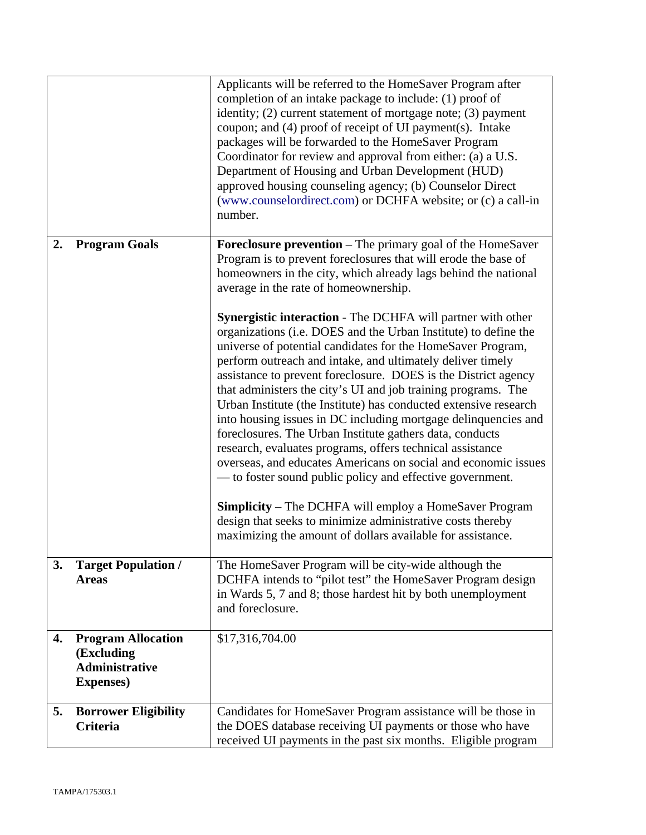|    |                                                                                       | Applicants will be referred to the HomeSaver Program after<br>completion of an intake package to include: (1) proof of<br>identity; (2) current statement of mortgage note; (3) payment<br>coupon; and (4) proof of receipt of UI payment(s). Intake<br>packages will be forwarded to the HomeSaver Program<br>Coordinator for review and approval from either: (a) a U.S.<br>Department of Housing and Urban Development (HUD)<br>approved housing counseling agency; (b) Counselor Direct<br>(www.counselordirect.com) or DCHFA website; or (c) a call-in<br>number.                                                                                                                                                                                                                                                                                                                                                                                                                    |
|----|---------------------------------------------------------------------------------------|-------------------------------------------------------------------------------------------------------------------------------------------------------------------------------------------------------------------------------------------------------------------------------------------------------------------------------------------------------------------------------------------------------------------------------------------------------------------------------------------------------------------------------------------------------------------------------------------------------------------------------------------------------------------------------------------------------------------------------------------------------------------------------------------------------------------------------------------------------------------------------------------------------------------------------------------------------------------------------------------|
| 2. | <b>Program Goals</b>                                                                  | <b>Foreclosure prevention</b> – The primary goal of the HomeSaver<br>Program is to prevent foreclosures that will erode the base of<br>homeowners in the city, which already lags behind the national<br>average in the rate of homeownership.                                                                                                                                                                                                                                                                                                                                                                                                                                                                                                                                                                                                                                                                                                                                            |
|    |                                                                                       | Synergistic interaction - The DCHFA will partner with other<br>organizations (i.e. DOES and the Urban Institute) to define the<br>universe of potential candidates for the HomeSaver Program,<br>perform outreach and intake, and ultimately deliver timely<br>assistance to prevent foreclosure. DOES is the District agency<br>that administers the city's UI and job training programs. The<br>Urban Institute (the Institute) has conducted extensive research<br>into housing issues in DC including mortgage delinquencies and<br>foreclosures. The Urban Institute gathers data, conducts<br>research, evaluates programs, offers technical assistance<br>overseas, and educates Americans on social and economic issues<br>— to foster sound public policy and effective government.<br><b>Simplicity</b> – The DCHFA will employ a HomeSaver Program<br>design that seeks to minimize administrative costs thereby<br>maximizing the amount of dollars available for assistance. |
| 3. | <b>Target Population /</b><br><b>Areas</b>                                            | The HomeSaver Program will be city-wide although the<br>DCHFA intends to "pilot test" the HomeSaver Program design<br>in Wards 5, 7 and 8; those hardest hit by both unemployment<br>and foreclosure.                                                                                                                                                                                                                                                                                                                                                                                                                                                                                                                                                                                                                                                                                                                                                                                     |
| 4. | <b>Program Allocation</b><br>(Excluding<br><b>Administrative</b><br><b>Expenses</b> ) | \$17,316,704.00                                                                                                                                                                                                                                                                                                                                                                                                                                                                                                                                                                                                                                                                                                                                                                                                                                                                                                                                                                           |
| 5. | <b>Borrower Eligibility</b><br>Criteria                                               | Candidates for HomeSaver Program assistance will be those in<br>the DOES database receiving UI payments or those who have<br>received UI payments in the past six months. Eligible program                                                                                                                                                                                                                                                                                                                                                                                                                                                                                                                                                                                                                                                                                                                                                                                                |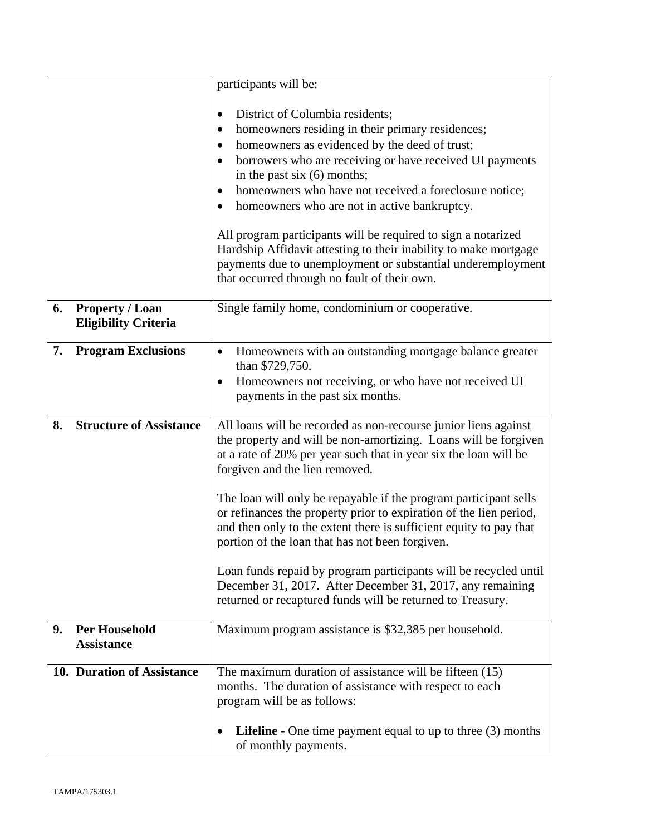|    |                                                       | participants will be:                                                                                                                                                                                                                                                                                                                                                                                                                                                                                                                                                                                                  |
|----|-------------------------------------------------------|------------------------------------------------------------------------------------------------------------------------------------------------------------------------------------------------------------------------------------------------------------------------------------------------------------------------------------------------------------------------------------------------------------------------------------------------------------------------------------------------------------------------------------------------------------------------------------------------------------------------|
|    |                                                       | District of Columbia residents;<br>homeowners residing in their primary residences;<br>٠<br>homeowners as evidenced by the deed of trust;<br>borrowers who are receiving or have received UI payments<br>$\bullet$<br>in the past six $(6)$ months;<br>homeowners who have not received a foreclosure notice;<br>٠<br>homeowners who are not in active bankruptcy.<br>All program participants will be required to sign a notarized<br>Hardship Affidavit attesting to their inability to make mortgage<br>payments due to unemployment or substantial underemployment<br>that occurred through no fault of their own. |
| 6. | <b>Property / Loan</b><br><b>Eligibility Criteria</b> | Single family home, condominium or cooperative.                                                                                                                                                                                                                                                                                                                                                                                                                                                                                                                                                                        |
| 7. | <b>Program Exclusions</b>                             | Homeowners with an outstanding mortgage balance greater<br>$\bullet$<br>than \$729,750.<br>Homeowners not receiving, or who have not received UI<br>$\bullet$<br>payments in the past six months.                                                                                                                                                                                                                                                                                                                                                                                                                      |
| 8. | <b>Structure of Assistance</b>                        | All loans will be recorded as non-recourse junior liens against<br>the property and will be non-amortizing. Loans will be forgiven<br>at a rate of 20% per year such that in year six the loan will be<br>forgiven and the lien removed.                                                                                                                                                                                                                                                                                                                                                                               |
|    |                                                       | The loan will only be repayable if the program participant sells<br>or refinances the property prior to expiration of the lien period,<br>and then only to the extent there is sufficient equity to pay that<br>portion of the loan that has not been forgiven.                                                                                                                                                                                                                                                                                                                                                        |
|    |                                                       | Loan funds repaid by program participants will be recycled until<br>December 31, 2017. After December 31, 2017, any remaining<br>returned or recaptured funds will be returned to Treasury.                                                                                                                                                                                                                                                                                                                                                                                                                            |
| 9. | <b>Per Household</b><br><b>Assistance</b>             | Maximum program assistance is \$32,385 per household.                                                                                                                                                                                                                                                                                                                                                                                                                                                                                                                                                                  |
|    | 10. Duration of Assistance                            | The maximum duration of assistance will be fifteen (15)<br>months. The duration of assistance with respect to each<br>program will be as follows:                                                                                                                                                                                                                                                                                                                                                                                                                                                                      |
|    |                                                       | <b>Lifeline</b> - One time payment equal to up to three $(3)$ months<br>٠<br>of monthly payments.                                                                                                                                                                                                                                                                                                                                                                                                                                                                                                                      |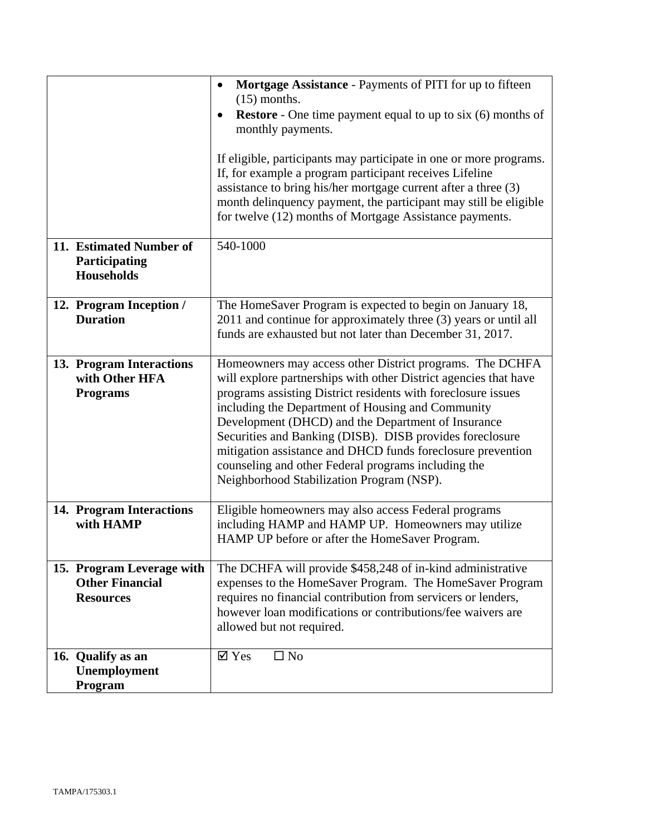|                                                                         | Mortgage Assistance - Payments of PITI for up to fifteen<br>$\bullet$<br>$(15)$ months.<br><b>Restore</b> - One time payment equal to up to six (6) months of<br>monthly payments.<br>If eligible, participants may participate in one or more programs.<br>If, for example a program participant receives Lifeline<br>assistance to bring his/her mortgage current after a three (3)<br>month delinquency payment, the participant may still be eligible<br>for twelve (12) months of Mortgage Assistance payments.                    |
|-------------------------------------------------------------------------|-----------------------------------------------------------------------------------------------------------------------------------------------------------------------------------------------------------------------------------------------------------------------------------------------------------------------------------------------------------------------------------------------------------------------------------------------------------------------------------------------------------------------------------------|
| 11. Estimated Number of<br>Participating<br><b>Households</b>           | 540-1000                                                                                                                                                                                                                                                                                                                                                                                                                                                                                                                                |
| 12. Program Inception /<br><b>Duration</b>                              | The HomeSaver Program is expected to begin on January 18,<br>2011 and continue for approximately three (3) years or until all<br>funds are exhausted but not later than December 31, 2017.                                                                                                                                                                                                                                                                                                                                              |
| 13. Program Interactions<br>with Other HFA<br><b>Programs</b>           | Homeowners may access other District programs. The DCHFA<br>will explore partnerships with other District agencies that have<br>programs assisting District residents with foreclosure issues<br>including the Department of Housing and Community<br>Development (DHCD) and the Department of Insurance<br>Securities and Banking (DISB). DISB provides foreclosure<br>mitigation assistance and DHCD funds foreclosure prevention<br>counseling and other Federal programs including the<br>Neighborhood Stabilization Program (NSP). |
| 14. Program Interactions<br>with HAMP                                   | Eligible homeowners may also access Federal programs<br>including HAMP and HAMP UP. Homeowners may utilize<br>HAMP UP before or after the HomeSaver Program.                                                                                                                                                                                                                                                                                                                                                                            |
| 15. Program Leverage with<br><b>Other Financial</b><br><b>Resources</b> | The DCHFA will provide \$458,248 of in-kind administrative<br>expenses to the HomeSaver Program. The HomeSaver Program<br>requires no financial contribution from servicers or lenders,<br>however loan modifications or contributions/fee waivers are<br>allowed but not required.                                                                                                                                                                                                                                                     |
| 16. Qualify as an<br>Unemployment<br>Program                            | $\square$ No<br>$\overline{\mathsf{d}}$ Yes                                                                                                                                                                                                                                                                                                                                                                                                                                                                                             |